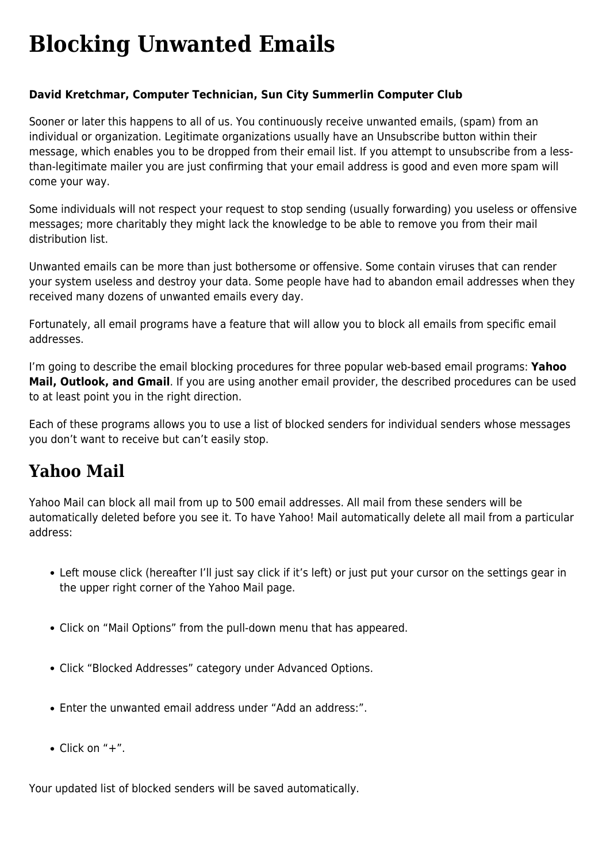# **[Blocking Unwanted Emails](https://www.melbpc.org.au/blocking-unwanted-emails/)**

#### **David Kretchmar, Computer Technician, Sun City Summerlin Computer Club**

Sooner or later this happens to all of us. You continuously receive unwanted emails, (spam) from an individual or organization. Legitimate organizations usually have an Unsubscribe button within their message, which enables you to be dropped from their email list. If you attempt to unsubscribe from a lessthan-legitimate mailer you are just confirming that your email address is good and even more spam will come your way.

Some individuals will not respect your request to stop sending (usually forwarding) you useless or offensive messages; more charitably they might lack the knowledge to be able to remove you from their mail distribution list.

Unwanted emails can be more than just bothersome or offensive. Some contain viruses that can render your system useless and destroy your data. Some people have had to abandon email addresses when they received many dozens of unwanted emails every day.

Fortunately, all email programs have a feature that will allow you to block all emails from specific email addresses.

I'm going to describe the email blocking procedures for three popular web-based email programs: **Yahoo Mail, Outlook, and Gmail**. If you are using another email provider, the described procedures can be used to at least point you in the right direction.

Each of these programs allows you to use a list of blocked senders for individual senders whose messages you don't want to receive but can't easily stop.

## **Yahoo Mail**

Yahoo Mail can block all mail from up to 500 email addresses. All mail from these senders will be automatically deleted before you see it. To have Yahoo! Mail automatically delete all mail from a particular address:

- Left mouse click (hereafter I'll just say click if it's left) or just put your cursor on the settings gear in the upper right corner of the Yahoo Mail page.
- Click on "Mail Options" from the pull-down menu that has appeared.
- Click "Blocked Addresses" category under Advanced Options.
- Enter the unwanted email address under "Add an address:".
- $\bullet$  Click on "+".

Your updated list of blocked senders will be saved automatically.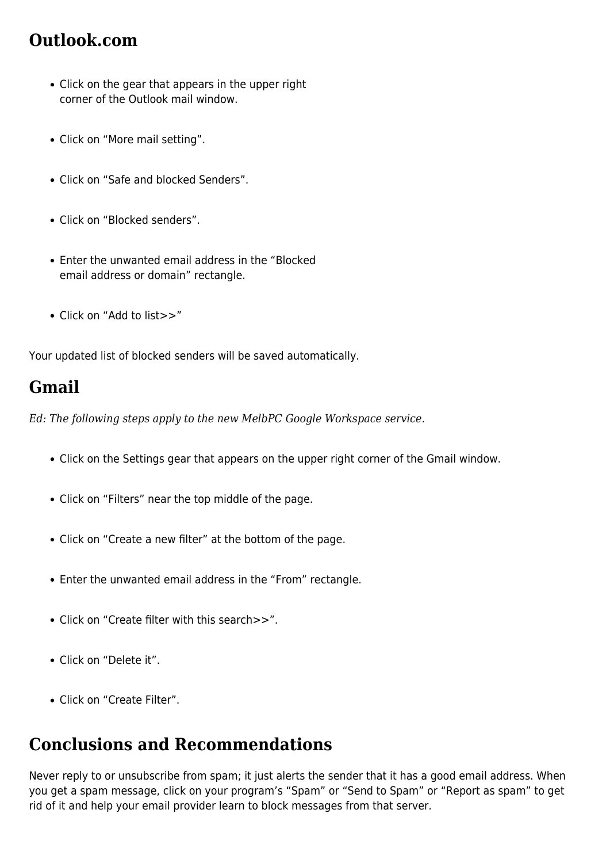## **Outlook.com**

- Click on the gear that appears in the upper right corner of the Outlook mail window.
- Click on "More mail setting".
- Click on "Safe and blocked Senders".
- Click on "Blocked senders".
- Enter the unwanted email address in the "Blocked email address or domain" rectangle.
- Click on "Add to list>>"

Your updated list of blocked senders will be saved automatically.

#### **Gmail**

*Ed: The following steps apply to the new MelbPC Google Workspace service.*

- Click on the Settings gear that appears on the upper right corner of the Gmail window.
- Click on "Filters" near the top middle of the page.
- Click on "Create a new filter" at the bottom of the page.
- Enter the unwanted email address in the "From" rectangle.
- Click on "Create filter with this search>>".
- Click on "Delete it".
- Click on "Create Filter".

## **Conclusions and Recommendations**

Never reply to or unsubscribe from spam; it just alerts the sender that it has a good email address. When you get a spam message, click on your program's "Spam" or "Send to Spam" or "Report as spam" to get rid of it and help your email provider learn to block messages from that server.